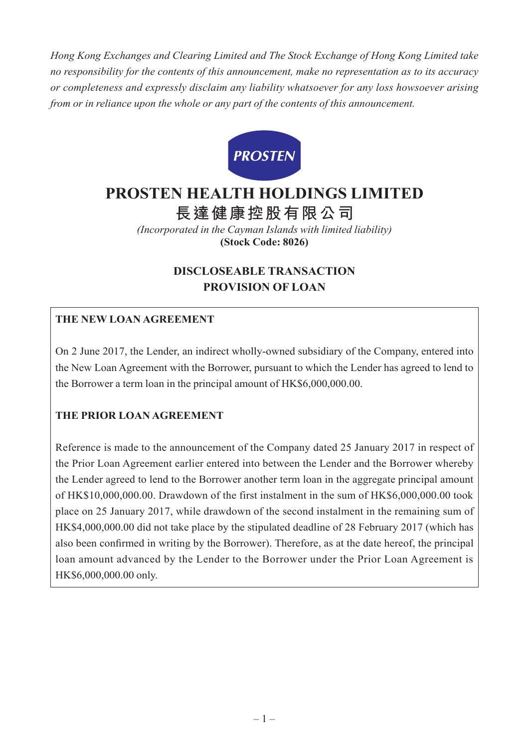*Hong Kong Exchanges and Clearing Limited and The Stock Exchange of Hong Kong Limited take no responsibility for the contents of this announcement, make no representation as to its accuracy or completeness and expressly disclaim any liability whatsoever for any loss howsoever arising from or in reliance upon the whole or any part of the contents of this announcement.*



# **PROSTEN HEALTH HOLDINGS LIMITED**

**長達健康控股有限公司**

*(Incorporated in the Cayman Islands with limited liability)* **(Stock Code: 8026)**

# **DISCLOSEABLE TRANSACTION PROVISION OF LOAN**

## **THE NEW LOAN AGREEMENT**

On 2 June 2017, the Lender, an indirect wholly-owned subsidiary of the Company, entered into the New Loan Agreement with the Borrower, pursuant to which the Lender has agreed to lend to the Borrower a term loan in the principal amount of HK\$6,000,000.00.

## **THE PRIOR LOAN AGREEMENT**

Reference is made to the announcement of the Company dated 25 January 2017 in respect of the Prior Loan Agreement earlier entered into between the Lender and the Borrower whereby the Lender agreed to lend to the Borrower another term loan in the aggregate principal amount of HK\$10,000,000.00. Drawdown of the first instalment in the sum of HK\$6,000,000.00 took place on 25 January 2017, while drawdown of the second instalment in the remaining sum of HK\$4,000,000.00 did not take place by the stipulated deadline of 28 February 2017 (which has also been confirmed in writing by the Borrower). Therefore, as at the date hereof, the principal loan amount advanced by the Lender to the Borrower under the Prior Loan Agreement is HK\$6,000,000.00 only.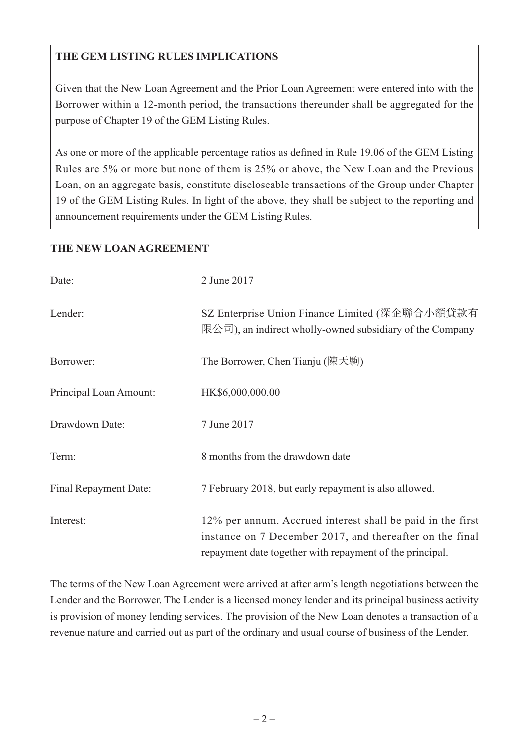# **THE GEM LISTING RULES IMPLICATIONS**

Given that the New Loan Agreement and the Prior Loan Agreement were entered into with the Borrower within a 12-month period, the transactions thereunder shall be aggregated for the purpose of Chapter 19 of the GEM Listing Rules.

As one or more of the applicable percentage ratios as defined in Rule 19.06 of the GEM Listing Rules are 5% or more but none of them is 25% or above, the New Loan and the Previous Loan, on an aggregate basis, constitute discloseable transactions of the Group under Chapter 19 of the GEM Listing Rules. In light of the above, they shall be subject to the reporting and announcement requirements under the GEM Listing Rules.

#### **THE NEW LOAN AGREEMENT**

| Date:                  | 2 June 2017                                                                                                                                                                        |
|------------------------|------------------------------------------------------------------------------------------------------------------------------------------------------------------------------------|
| Lender:                | SZ Enterprise Union Finance Limited (深企聯合小額貸款有<br>限公司), an indirect wholly-owned subsidiary of the Company                                                                         |
| Borrower:              | The Borrower, Chen Tianju (陳天駒)                                                                                                                                                    |
| Principal Loan Amount: | HK\$6,000,000.00                                                                                                                                                                   |
| Drawdown Date:         | 7 June 2017                                                                                                                                                                        |
| Term:                  | 8 months from the drawdown date                                                                                                                                                    |
| Final Repayment Date:  | 7 February 2018, but early repayment is also allowed.                                                                                                                              |
| Interest:              | 12% per annum. Accrued interest shall be paid in the first<br>instance on 7 December 2017, and thereafter on the final<br>repayment date together with repayment of the principal. |

The terms of the New Loan Agreement were arrived at after arm's length negotiations between the Lender and the Borrower. The Lender is a licensed money lender and its principal business activity is provision of money lending services. The provision of the New Loan denotes a transaction of a revenue nature and carried out as part of the ordinary and usual course of business of the Lender.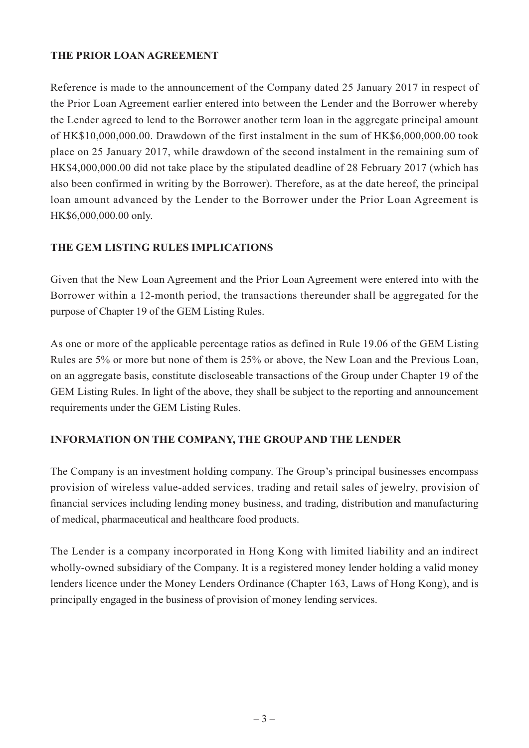## **THE PRIOR LOAN AGREEMENT**

Reference is made to the announcement of the Company dated 25 January 2017 in respect of the Prior Loan Agreement earlier entered into between the Lender and the Borrower whereby the Lender agreed to lend to the Borrower another term loan in the aggregate principal amount of HK\$10,000,000.00. Drawdown of the first instalment in the sum of HK\$6,000,000.00 took place on 25 January 2017, while drawdown of the second instalment in the remaining sum of HK\$4,000,000.00 did not take place by the stipulated deadline of 28 February 2017 (which has also been confirmed in writing by the Borrower). Therefore, as at the date hereof, the principal loan amount advanced by the Lender to the Borrower under the Prior Loan Agreement is HK\$6,000,000.00 only.

## **THE GEM LISTING RULES IMPLICATIONS**

Given that the New Loan Agreement and the Prior Loan Agreement were entered into with the Borrower within a 12-month period, the transactions thereunder shall be aggregated for the purpose of Chapter 19 of the GEM Listing Rules.

As one or more of the applicable percentage ratios as defined in Rule 19.06 of the GEM Listing Rules are 5% or more but none of them is 25% or above, the New Loan and the Previous Loan, on an aggregate basis, constitute discloseable transactions of the Group under Chapter 19 of the GEM Listing Rules. In light of the above, they shall be subject to the reporting and announcement requirements under the GEM Listing Rules.

## **INFORMATION ON THE COMPANY, THE GROUP AND THE LENDER**

The Company is an investment holding company. The Group's principal businesses encompass provision of wireless value-added services, trading and retail sales of jewelry, provision of financial services including lending money business, and trading, distribution and manufacturing of medical, pharmaceutical and healthcare food products.

The Lender is a company incorporated in Hong Kong with limited liability and an indirect wholly-owned subsidiary of the Company. It is a registered money lender holding a valid money lenders licence under the Money Lenders Ordinance (Chapter 163, Laws of Hong Kong), and is principally engaged in the business of provision of money lending services.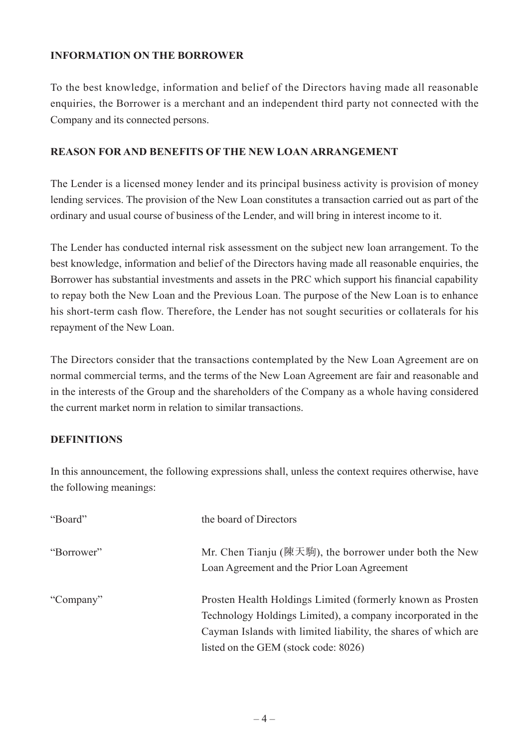#### **INFORMATION ON THE BORROWER**

To the best knowledge, information and belief of the Directors having made all reasonable enquiries, the Borrower is a merchant and an independent third party not connected with the Company and its connected persons.

#### **REASON FOR AND BENEFITS OF THE NEW LOAN ARRANGEMENT**

The Lender is a licensed money lender and its principal business activity is provision of money lending services. The provision of the New Loan constitutes a transaction carried out as part of the ordinary and usual course of business of the Lender, and will bring in interest income to it.

The Lender has conducted internal risk assessment on the subject new loan arrangement. To the best knowledge, information and belief of the Directors having made all reasonable enquiries, the Borrower has substantial investments and assets in the PRC which support his financial capability to repay both the New Loan and the Previous Loan. The purpose of the New Loan is to enhance his short-term cash flow. Therefore, the Lender has not sought securities or collaterals for his repayment of the New Loan.

The Directors consider that the transactions contemplated by the New Loan Agreement are on normal commercial terms, and the terms of the New Loan Agreement are fair and reasonable and in the interests of the Group and the shareholders of the Company as a whole having considered the current market norm in relation to similar transactions.

## **DEFINITIONS**

In this announcement, the following expressions shall, unless the context requires otherwise, have the following meanings:

| "Board"    | the board of Directors                                                                                                                                                                                                               |
|------------|--------------------------------------------------------------------------------------------------------------------------------------------------------------------------------------------------------------------------------------|
| "Borrower" | Mr. Chen Tianju (陳天駒), the borrower under both the New<br>Loan Agreement and the Prior Loan Agreement                                                                                                                                |
| "Company"  | Prosten Health Holdings Limited (formerly known as Prosten)<br>Technology Holdings Limited), a company incorporated in the<br>Cayman Islands with limited liability, the shares of which are<br>listed on the GEM (stock code: 8026) |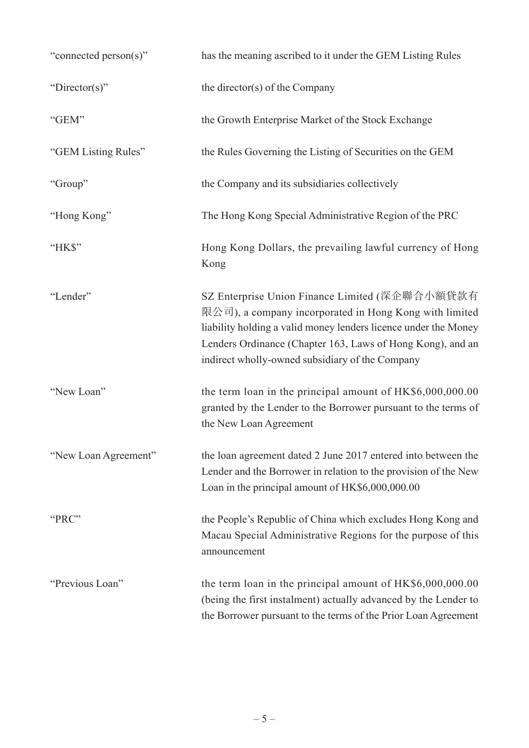| "connected person(s)" | has the meaning ascribed to it under the GEM Listing Rules                                                                                                                                                                                                                                   |
|-----------------------|----------------------------------------------------------------------------------------------------------------------------------------------------------------------------------------------------------------------------------------------------------------------------------------------|
| "Director(s)"         | the director(s) of the Company                                                                                                                                                                                                                                                               |
| "GEM"                 | the Growth Enterprise Market of the Stock Exchange                                                                                                                                                                                                                                           |
| "GEM Listing Rules"   | the Rules Governing the Listing of Securities on the GEM                                                                                                                                                                                                                                     |
| "Group"               | the Company and its subsidiaries collectively                                                                                                                                                                                                                                                |
| "Hong Kong"           | The Hong Kong Special Administrative Region of the PRC                                                                                                                                                                                                                                       |
| "HK\$"                | Hong Kong Dollars, the prevailing lawful currency of Hong<br>Kong                                                                                                                                                                                                                            |
| "Lender"              | SZ Enterprise Union Finance Limited (深企聯合小額貸款有<br>限公司), a company incorporated in Hong Kong with limited<br>liability holding a valid money lenders licence under the Money<br>Lenders Ordinance (Chapter 163, Laws of Hong Kong), and an<br>indirect wholly-owned subsidiary of the Company |
| "New Loan"            | the term loan in the principal amount of HK\$6,000,000.00<br>granted by the Lender to the Borrower pursuant to the terms of<br>the New Loan Agreement                                                                                                                                        |
| "New Loan Agreement"  | the loan agreement dated 2 June 2017 entered into between the<br>Lender and the Borrower in relation to the provision of the New<br>Loan in the principal amount of HK\$6,000,000.00                                                                                                         |
| "PRC"                 | the People's Republic of China which excludes Hong Kong and<br>Macau Special Administrative Regions for the purpose of this<br>announcement                                                                                                                                                  |
| "Previous Loan"       | the term loan in the principal amount of $HK$6,000,000.00$<br>(being the first instalment) actually advanced by the Lender to<br>the Borrower pursuant to the terms of the Prior Loan Agreement                                                                                              |